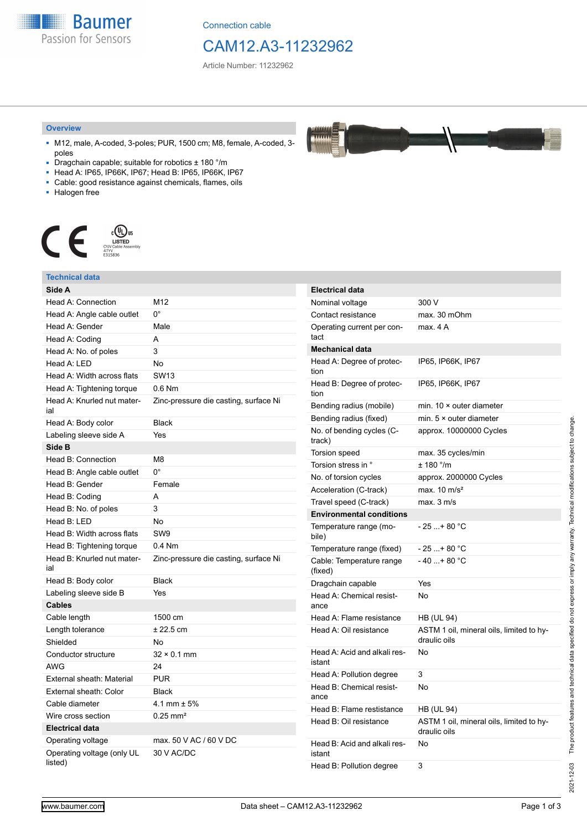**Baumer** Passion for Sensors

Connection cable

# CAM12.A3-11232962

Article Number: 11232962

#### **Overview**

- M12, male, A-coded, 3-poles; PUR, 1500 cm; M8, female, A-coded, 3 poles
- Dragchain capable; suitable for robotics ± 180 °/m
- Head A: IP65, IP66K, IP67; Head B: IP65, IP66K, IP67
- Cable: good resistance against chemicals, flames, oils
- Halogen free



### **Technical data**

| Side A                                |                                       |
|---------------------------------------|---------------------------------------|
| Head A: Connection                    | M12                                   |
| Head A: Angle cable outlet            | 0°                                    |
| Head A: Gender                        | Male                                  |
| Head A: Coding                        | А                                     |
| Head A: No. of poles                  | 3                                     |
| Head A: LED                           | No                                    |
| Head A: Width across flats            | <b>SW13</b>                           |
| Head A: Tightening torque             | $0.6$ Nm                              |
| Head A: Knurled nut mater-<br>ial     | Zinc-pressure die casting, surface Ni |
| Head A: Body color                    | <b>Black</b>                          |
| Labeling sleeve side A                | Yes                                   |
| Side B                                |                                       |
| Head B: Connection                    | M8                                    |
| Head B: Angle cable outlet            | $0^{\circ}$                           |
| Head B: Gender                        | Female                                |
| Head B: Coding                        | A                                     |
| Head B: No. of poles                  | 3                                     |
| Head B: LED                           | No                                    |
| Head B: Width across flats            | SW <sub>9</sub>                       |
| Head B: Tightening torque             | $0.4$ Nm                              |
| Head B: Knurled nut mater-<br>ial     | Zinc-pressure die casting, surface Ni |
| Head B: Body color                    | <b>Black</b>                          |
| Labeling sleeve side B                | Yes                                   |
| Cables                                |                                       |
| Cable length                          | 1500 cm                               |
| Length tolerance                      | $± 22.5$ cm                           |
| Shielded                              | No                                    |
| Conductor structure                   | $32 \times 0.1$ mm                    |
| <b>AWG</b>                            | 24                                    |
| External sheath: Material             | <b>PUR</b>                            |
| External sheath: Color                | <b>Black</b>                          |
| Cable diameter                        | 4.1 mm $\pm$ 5%                       |
| Wire cross section                    | $0.25$ mm <sup>2</sup>                |
| <b>Electrical data</b>                |                                       |
| Operating voltage                     | max, 50 V AC / 60 V DC                |
| Operating voltage (only UL<br>listed) | 30 V AC/DC                            |

| <b>Electrical data</b>                 |                                                          |
|----------------------------------------|----------------------------------------------------------|
| Nominal voltage                        | 300 V                                                    |
| Contact resistance                     | max. 30 mOhm                                             |
| Operating current per con-<br>tact     | max. 4 A                                                 |
| <b>Mechanical data</b>                 |                                                          |
| Head A: Degree of protec-<br>tion      | IP65, IP66K, IP67                                        |
| Head B: Degree of protec-<br>tion      | IP65, IP66K, IP67                                        |
| Bending radius (mobile)                | min. $10 \times$ outer diameter                          |
| Bending radius (fixed)                 | min. $5 \times$ outer diameter                           |
| No. of bending cycles (C-<br>track)    | approx. 10000000 Cycles                                  |
| Torsion speed                          | max. 35 cycles/min                                       |
| Torsion stress in °                    | ± 180 °/m                                                |
| No. of torsion cycles                  | approx. 2000000 Cycles                                   |
| Acceleration (C-track)                 | max. $10 \text{ m/s}^2$                                  |
| Travel speed (C-track)                 | max. 3 m/s                                               |
| <b>Environmental conditions</b>        |                                                          |
| Temperature range (mo-<br>bile)        | - 25 + 80 °C                                             |
| Temperature range (fixed)              | $-25+80 °C$                                              |
| Cable: Temperature range<br>(fixed)    | $-40+80 °C$                                              |
| Dragchain capable                      | Yes                                                      |
| Head A: Chemical resist-<br>ance       | No                                                       |
| Head A: Flame resistance               | HB (UL 94)                                               |
| Head A: Oil resistance                 | ASTM 1 oil, mineral oils, limited to hy-<br>draulic oils |
| Head A: Acid and alkali res-<br>istant | No                                                       |
| Head A: Pollution degree               | 3                                                        |
| Head B: Chemical resist-<br>ance       | No                                                       |
| Head B: Flame restistance              | HB (UL 94)                                               |
| Head B: Oil resistance                 | ASTM 1 oil, mineral oils, limited to hy-<br>draulic oils |
| Head B: Acid and alkali res-<br>istant | No                                                       |
| Head B: Pollution degree               | 3                                                        |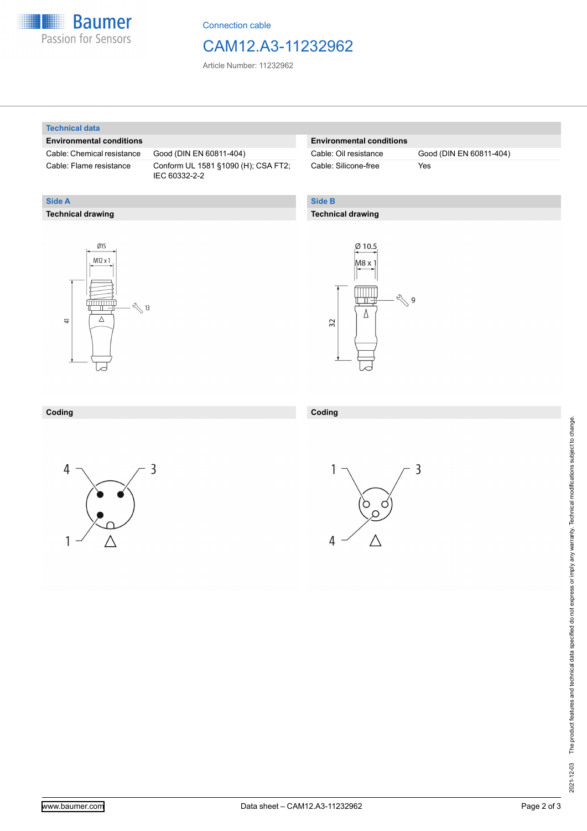

Connection cable

### CAM12.A3-11232962

Article Number: 11232962

#### **Technical data**

**Technical drawing**

**Side A**

#### **Environmental conditions**

Cable: Chemical resistance Good (DIN EN 60811-404)

Cable: Flame resistance Conform UL 1581 §1090 (H); CSA FT2; IEC 60332-2-2

#### **Environmental conditions**

Cable: Silicone-free Yes

Cable: Oil resistance Good (DIN EN 60811-404)

### **Side B**

#### **Technical drawing**





#### **Coding Coding**